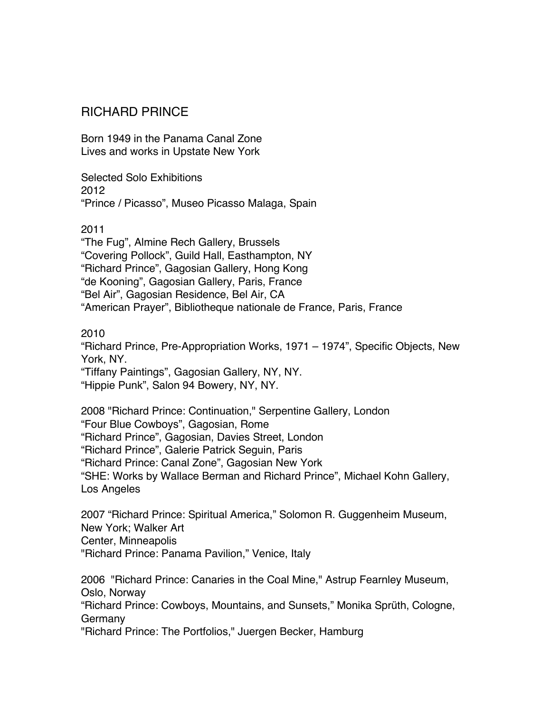## RICHARD PRINCE

Born 1949 in the Panama Canal Zone Lives and works in Upstate New York

Selected Solo Exhibitions 2012 "Prince / Picasso", Museo Picasso Malaga, Spain

#### 2011

"The Fug", Almine Rech Gallery, Brussels "Covering Pollock", Guild Hall, Easthampton, NY "Richard Prince", Gagosian Gallery, Hong Kong "de Kooning", Gagosian Gallery, Paris, France "Bel Air", Gagosian Residence, Bel Air, CA "American Prayer", Bibliotheque nationale de France, Paris, France

### 2010

"Richard Prince, Pre-Appropriation Works, 1971 – 1974", Specific Objects, New York, NY. "Tiffany Paintings", Gagosian Gallery, NY, NY.

"Hippie Punk", Salon 94 Bowery, NY, NY.

2008 "Richard Prince: Continuation," Serpentine Gallery, London "Four Blue Cowboys", Gagosian, Rome "Richard Prince", Gagosian, Davies Street, London "Richard Prince", Galerie Patrick Seguin, Paris "Richard Prince: Canal Zone", Gagosian New York "SHE: Works by Wallace Berman and Richard Prince", Michael Kohn Gallery, Los Angeles

2007 "Richard Prince: Spiritual America," Solomon R. Guggenheim Museum, New York; Walker Art Center, Minneapolis "Richard Prince: Panama Pavilion," Venice, Italy

2006 "Richard Prince: Canaries in the Coal Mine," Astrup Fearnley Museum, Oslo, Norway "Richard Prince: Cowboys, Mountains, and Sunsets," Monika Sprüth, Cologne, Germany "Richard Prince: The Portfolios," Juergen Becker, Hamburg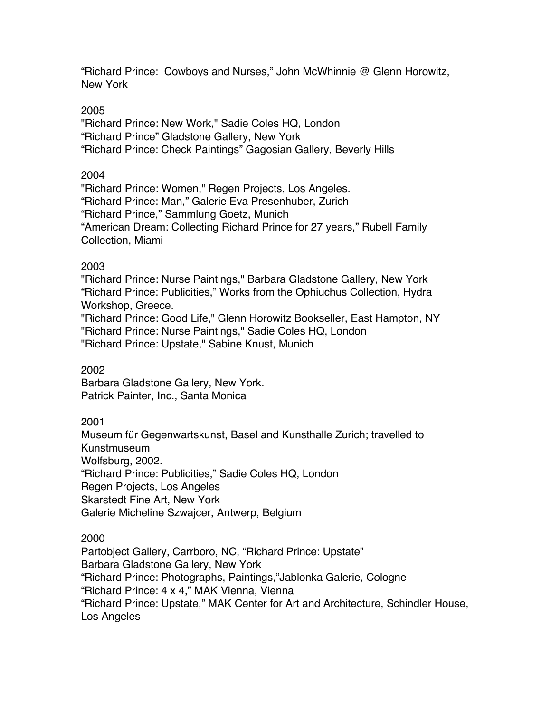"Richard Prince: Cowboys and Nurses," John McWhinnie @ Glenn Horowitz, New York

### 2005

"Richard Prince: New Work," Sadie Coles HQ, London "Richard Prince" Gladstone Gallery, New York "Richard Prince: Check Paintings" Gagosian Gallery, Beverly Hills

### 2004

"Richard Prince: Women," Regen Projects, Los Angeles. "Richard Prince: Man," Galerie Eva Presenhuber, Zurich "Richard Prince," Sammlung Goetz, Munich "American Dream: Collecting Richard Prince for 27 years," Rubell Family Collection, Miami

## 2003

"Richard Prince: Nurse Paintings," Barbara Gladstone Gallery, New York "Richard Prince: Publicities," Works from the Ophiuchus Collection, Hydra Workshop, Greece.

"Richard Prince: Good Life," Glenn Horowitz Bookseller, East Hampton, NY "Richard Prince: Nurse Paintings," Sadie Coles HQ, London "Richard Prince: Upstate," Sabine Knust, Munich

## 2002

Barbara Gladstone Gallery, New York. Patrick Painter, Inc., Santa Monica

## 2001

Museum für Gegenwartskunst, Basel and Kunsthalle Zurich; travelled to Kunstmuseum Wolfsburg, 2002. "Richard Prince: Publicities," Sadie Coles HQ, London Regen Projects, Los Angeles Skarstedt Fine Art, New York Galerie Micheline Szwajcer, Antwerp, Belgium

2000

Partobject Gallery, Carrboro, NC, "Richard Prince: Upstate" Barbara Gladstone Gallery, New York "Richard Prince: Photographs, Paintings,"Jablonka Galerie, Cologne "Richard Prince: 4 x 4," MAK Vienna, Vienna "Richard Prince: Upstate," MAK Center for Art and Architecture, Schindler House, Los Angeles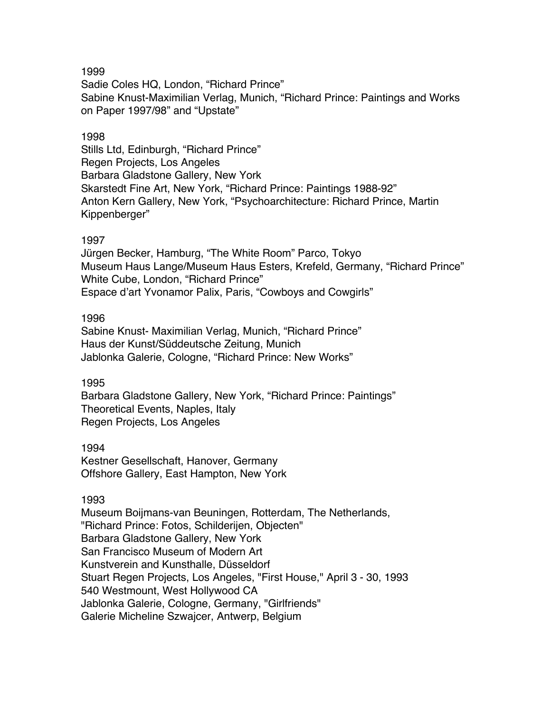Sadie Coles HQ, London, "Richard Prince" Sabine Knust-Maximilian Verlag, Munich, "Richard Prince: Paintings and Works on Paper 1997/98" and "Upstate"

#### 1998

Stills Ltd, Edinburgh, "Richard Prince" Regen Projects, Los Angeles Barbara Gladstone Gallery, New York Skarstedt Fine Art, New York, "Richard Prince: Paintings 1988-92" Anton Kern Gallery, New York, "Psychoarchitecture: Richard Prince, Martin Kippenberger"

#### 1997

Jürgen Becker, Hamburg, "The White Room" Parco, Tokyo Museum Haus Lange/Museum Haus Esters, Krefeld, Germany, "Richard Prince" White Cube, London, "Richard Prince" Espace d'art Yvonamor Palix, Paris, "Cowboys and Cowgirls"

#### 1996

Sabine Knust- Maximilian Verlag, Munich, "Richard Prince" Haus der Kunst/Süddeutsche Zeitung, Munich Jablonka Galerie, Cologne, "Richard Prince: New Works"

### 1995

Barbara Gladstone Gallery, New York, "Richard Prince: Paintings" Theoretical Events, Naples, Italy Regen Projects, Los Angeles

### 1994

Kestner Gesellschaft, Hanover, Germany Offshore Gallery, East Hampton, New York

### 1993

Museum Boijmans-van Beuningen, Rotterdam, The Netherlands, "Richard Prince: Fotos, Schilderijen, Objecten" Barbara Gladstone Gallery, New York San Francisco Museum of Modern Art Kunstverein and Kunsthalle, Düsseldorf Stuart Regen Projects, Los Angeles, "First House," April 3 - 30, 1993 540 Westmount, West Hollywood CA Jablonka Galerie, Cologne, Germany, "Girlfriends" Galerie Micheline Szwajcer, Antwerp, Belgium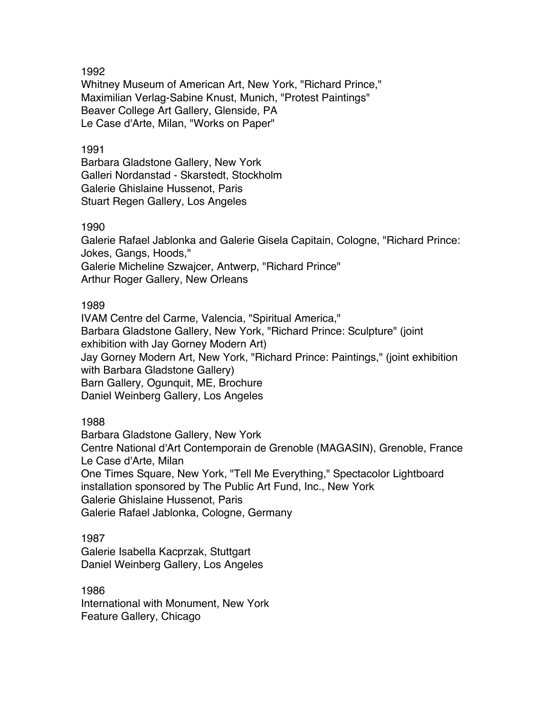Whitney Museum of American Art, New York, "Richard Prince," Maximilian Verlag-Sabine Knust, Munich, "Protest Paintings" Beaver College Art Gallery, Glenside, PA Le Case d'Arte, Milan, "Works on Paper"

#### 1991

Barbara Gladstone Gallery, New York Galleri Nordanstad - Skarstedt, Stockholm Galerie Ghislaine Hussenot, Paris Stuart Regen Gallery, Los Angeles

#### 1990

Galerie Rafael Jablonka and Galerie Gisela Capitain, Cologne, "Richard Prince: Jokes, Gangs, Hoods," Galerie Micheline Szwajcer, Antwerp, "Richard Prince" Arthur Roger Gallery, New Orleans

#### 1989

IVAM Centre del Carme, Valencia, "Spiritual America," Barbara Gladstone Gallery, New York, "Richard Prince: Sculpture" (joint exhibition with Jay Gorney Modern Art) Jay Gorney Modern Art, New York, "Richard Prince: Paintings," (joint exhibition with Barbara Gladstone Gallery) Barn Gallery, Ogunquit, ME, Brochure Daniel Weinberg Gallery, Los Angeles

### 1988

Barbara Gladstone Gallery, New York Centre National d'Art Contemporain de Grenoble (MAGASIN), Grenoble, France Le Case d'Arte, Milan One Times Square, New York, "Tell Me Everything," Spectacolor Lightboard installation sponsored by The Public Art Fund, Inc., New York Galerie Ghislaine Hussenot, Paris Galerie Rafael Jablonka, Cologne, Germany

1987 Galerie Isabella Kacprzak, Stuttgart Daniel Weinberg Gallery, Los Angeles

1986 International with Monument, New York Feature Gallery, Chicago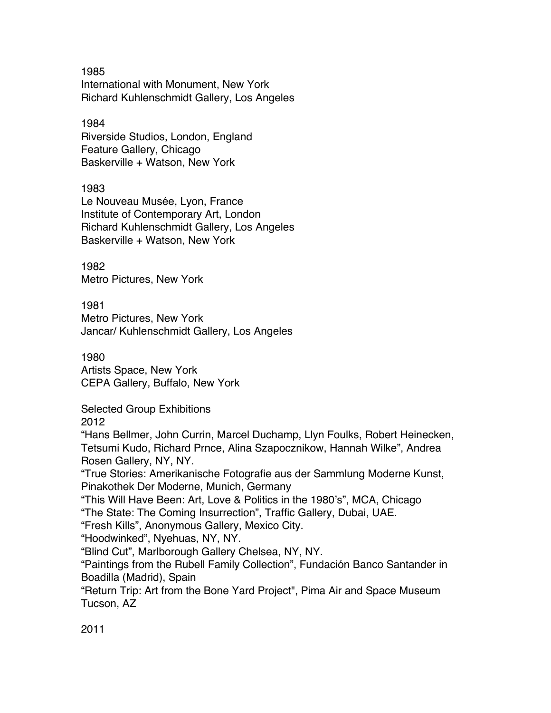1985 International with Monument, New York Richard Kuhlenschmidt Gallery, Los Angeles

1984 Riverside Studios, London, England Feature Gallery, Chicago Baskerville + Watson, New York

1983 Le Nouveau Musée, Lyon, France Institute of Contemporary Art, London Richard Kuhlenschmidt Gallery, Los Angeles Baskerville + Watson, New York

1982 Metro Pictures, New York

1981 Metro Pictures, New York Jancar/ Kuhlenschmidt Gallery, Los Angeles

1980 Artists Space, New York CEPA Gallery, Buffalo, New York

Selected Group Exhibitions

2012

"Hans Bellmer, John Currin, Marcel Duchamp, Llyn Foulks, Robert Heinecken, Tetsumi Kudo, Richard Prnce, Alina Szapocznikow, Hannah Wilke", Andrea Rosen Gallery, NY, NY.

"True Stories: Amerikanische Fotografie aus der Sammlung Moderne Kunst, Pinakothek Der Moderne, Munich, Germany

"This Will Have Been: Art, Love & Politics in the 1980's", MCA, Chicago "The State: The Coming Insurrection", Traffic Gallery, Dubai, UAE.

"Fresh Kills", Anonymous Gallery, Mexico City.

"Hoodwinked", Nyehuas, NY, NY.

"Blind Cut", Marlborough Gallery Chelsea, NY, NY.

"Paintings from the Rubell Family Collection", Fundación Banco Santander in Boadilla (Madrid), Spain

"Return Trip: Art from the Bone Yard Project", Pima Air and Space Museum Tucson, AZ

2011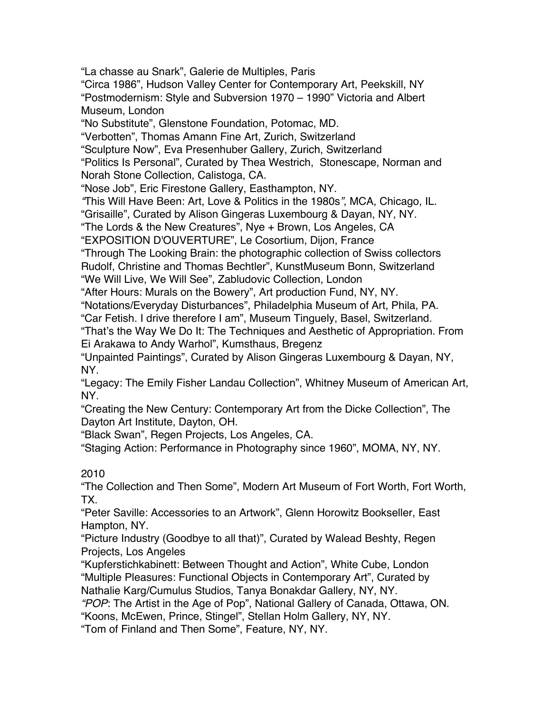"La chasse au Snark", Galerie de Multiples, Paris "Circa 1986", Hudson Valley Center for Contemporary Art, Peekskill, NY "Postmodernism: Style and Subversion 1970 – 1990" Victoria and Albert Museum, London "No Substitute", Glenstone Foundation, Potomac, MD. "Verbotten", Thomas Amann Fine Art, Zurich, Switzerland "Sculpture Now", Eva Presenhuber Gallery, Zurich, Switzerland "Politics Is Personal", Curated by Thea Westrich, Stonescape, Norman and Norah Stone Collection, Calistoga, CA. "Nose Job", Eric Firestone Gallery, Easthampton, NY. *"*This Will Have Been: Art, Love & Politics in the 1980s*",* MCA, Chicago, IL. "Grisaille", Curated by Alison Gingeras Luxembourg & Dayan, NY, NY. "The Lords & the New Creatures", Nye + Brown, Los Angeles, CA "EXPOSITION D'OUVERTURE", Le Cosortium, Dijon, France "Through The Looking Brain: the photographic collection of Swiss collectors Rudolf, Christine and Thomas Bechtler", KunstMuseum Bonn, Switzerland "We Will Live, We Will See", Zabludovic Collection, London "After Hours: Murals on the Bowery", Art production Fund, NY, NY. "Notations/Everyday Disturbances", Philadelphia Museum of Art, Phila, PA. "Car Fetish. I drive therefore I am", Museum Tinguely, Basel, Switzerland. "That's the Way We Do It: The Techniques and Aesthetic of Appropriation. From Ei Arakawa to Andy Warhol", Kumsthaus, Bregenz "Unpainted Paintings", Curated by Alison Gingeras Luxembourg & Dayan, NY, NY. "Legacy: The Emily Fisher Landau Collection", Whitney Museum of American Art, NY. "Creating the New Century: Contemporary Art from the Dicke Collection", The Dayton Art Institute, Dayton, OH. "Black Swan", Regen Projects, Los Angeles, CA. "Staging Action: Performance in Photography since 1960", MOMA, NY, NY. 2010 "The Collection and Then Some", Modern Art Museum of Fort Worth, Fort Worth, TX. "Peter Saville: Accessories to an Artwork", Glenn Horowitz Bookseller, East Hampton, NY. "Picture Industry (Goodbye to all that)", Curated by Walead Beshty, Regen Projects, Los Angeles "Kupferstichkabinett: Between Thought and Action", White Cube, London "Multiple Pleasures: Functional Objects in Contemporary Art", Curated by Nathalie Karg/Cumulus Studios, Tanya Bonakdar Gallery, NY, NY. *"POP*: The Artist in the Age of Pop", National Gallery of Canada, Ottawa, ON.

"Koons, McEwen, Prince, Stingel", Stellan Holm Gallery, NY, NY.

"Tom of Finland and Then Some", Feature, NY, NY.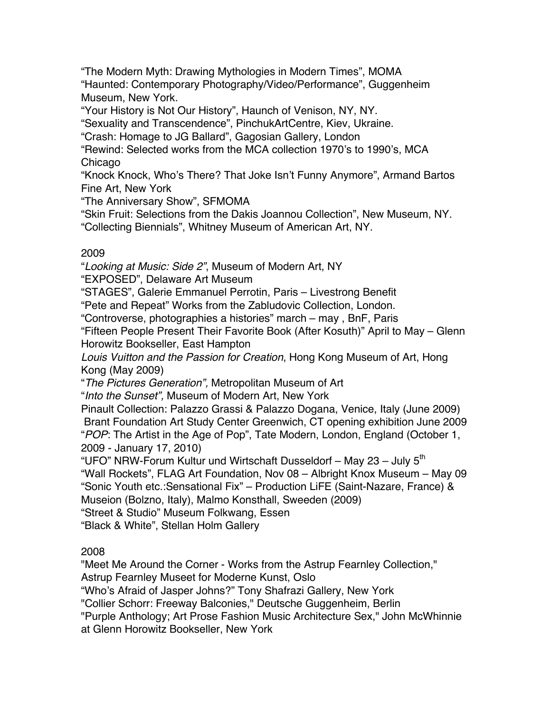"The Modern Myth: Drawing Mythologies in Modern Times", MOMA "Haunted: Contemporary Photography/Video/Performance", Guggenheim Museum, New York.

"Your History is Not Our History", Haunch of Venison, NY, NY.

"Sexuality and Transcendence", PinchukArtCentre, Kiev, Ukraine.

"Crash: Homage to JG Ballard", Gagosian Gallery, London

"Rewind: Selected works from the MCA collection 1970's to 1990's, MCA Chicago

"Knock Knock, Who's There? That Joke Isn't Funny Anymore", Armand Bartos Fine Art, New York

"The Anniversary Show", SFMOMA

"Skin Fruit: Selections from the Dakis Joannou Collection", New Museum, NY. "Collecting Biennials", Whitney Museum of American Art, NY.

## 2009

"*Looking at Music: Side 2"*, Museum of Modern Art, NY

"EXPOSED", Delaware Art Museum

"STAGES", Galerie Emmanuel Perrotin, Paris – Livestrong Benefit

"Pete and Repeat" Works from the Zabludovic Collection, London.

"Controverse, photographies a histories" march – may , BnF, Paris

"Fifteen People Present Their Favorite Book (After Kosuth)" April to May – Glenn Horowitz Bookseller, East Hampton

*Louis Vuitton and the Passion for Creation*, Hong Kong Museum of Art, Hong Kong (May 2009)

"*The Pictures Generation",* Metropolitan Museum of Art

"*Into the Sunset",* Museum of Modern Art, New York

Pinault Collection: Palazzo Grassi & Palazzo Dogana, Venice, Italy (June 2009) Brant Foundation Art Study Center Greenwich, CT opening exhibition June 2009 "*POP*: The Artist in the Age of Pop", Tate Modern, London, England (October 1, 2009 - January 17, 2010)

"UFO" NRW-Forum Kultur und Wirtschaft Dusseldorf – May 23 – July  $5<sup>th</sup>$ "Wall Rockets", FLAG Art Foundation, Nov 08 – Albright Knox Museum – May 09 "Sonic Youth etc.:Sensational Fix" – Production LiFE (Saint-Nazare, France) & Museion (Bolzno, Italy), Malmo Konsthall, Sweeden (2009)

"Street & Studio" Museum Folkwang, Essen

"Black & White", Stellan Holm Gallery

## 2008

"Meet Me Around the Corner - Works from the Astrup Fearnley Collection," Astrup Fearnley Museet for Moderne Kunst, Oslo

"Who's Afraid of Jasper Johns?" Tony Shafrazi Gallery, New York

"Collier Schorr: Freeway Balconies," Deutsche Guggenheim, Berlin

"Purple Anthology; Art Prose Fashion Music Architecture Sex," John McWhinnie

at Glenn Horowitz Bookseller, New York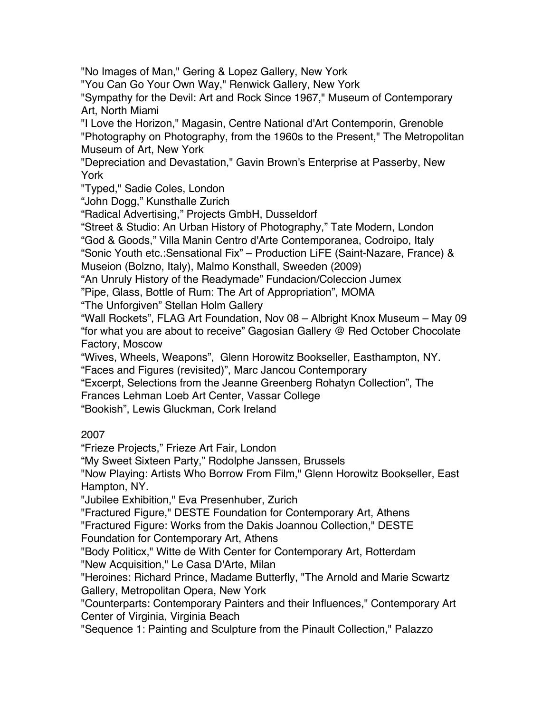"No Images of Man," Gering & Lopez Gallery, New York

"You Can Go Your Own Way," Renwick Gallery, New York

"Sympathy for the Devil: Art and Rock Since 1967," Museum of Contemporary Art, North Miami

"I Love the Horizon," Magasin, Centre National d'Art Contemporin, Grenoble "Photography on Photography, from the 1960s to the Present," The Metropolitan Museum of Art, New York

"Depreciation and Devastation," Gavin Brown's Enterprise at Passerby, New York

"Typed," Sadie Coles, London

"John Dogg," Kunsthalle Zurich

"Radical Advertising," Projects GmbH, Dusseldorf

"Street & Studio: An Urban History of Photography," Tate Modern, London "God & Goods," Villa Manin Centro d'Arte Contemporanea, Codroipo, Italy

"Sonic Youth etc.:Sensational Fix" – Production LiFE (Saint-Nazare, France) & Museion (Bolzno, Italy), Malmo Konsthall, Sweeden (2009)

"An Unruly History of the Readymade" Fundacion/Coleccion Jumex

"Pipe, Glass, Bottle of Rum: The Art of Appropriation", MOMA

"The Unforgiven" Stellan Holm Gallery

"Wall Rockets", FLAG Art Foundation, Nov 08 – Albright Knox Museum – May 09 "for what you are about to receive" Gagosian Gallery @ Red October Chocolate Factory, Moscow

"Wives, Wheels, Weapons", Glenn Horowitz Bookseller, Easthampton, NY.

"Faces and Figures (revisited)", Marc Jancou Contemporary

"Excerpt, Selections from the Jeanne Greenberg Rohatyn Collection", The

Frances Lehman Loeb Art Center, Vassar College

"Bookish", Lewis Gluckman, Cork Ireland

# 2007

"Frieze Projects," Frieze Art Fair, London

"My Sweet Sixteen Party," Rodolphe Janssen, Brussels

"Now Playing: Artists Who Borrow From Film," Glenn Horowitz Bookseller, East Hampton, NY.

"Jubilee Exhibition," Eva Presenhuber, Zurich

"Fractured Figure," DESTE Foundation for Contemporary Art, Athens

"Fractured Figure: Works from the Dakis Joannou Collection," DESTE

Foundation for Contemporary Art, Athens

"Body Politicx," Witte de With Center for Contemporary Art, Rotterdam "New Acquisition," Le Casa D'Arte, Milan

"Heroines: Richard Prince, Madame Butterfly, "The Arnold and Marie Scwartz Gallery, Metropolitan Opera, New York

"Counterparts: Contemporary Painters and their Influences," Contemporary Art Center of Virginia, Virginia Beach

"Sequence 1: Painting and Sculpture from the Pinault Collection," Palazzo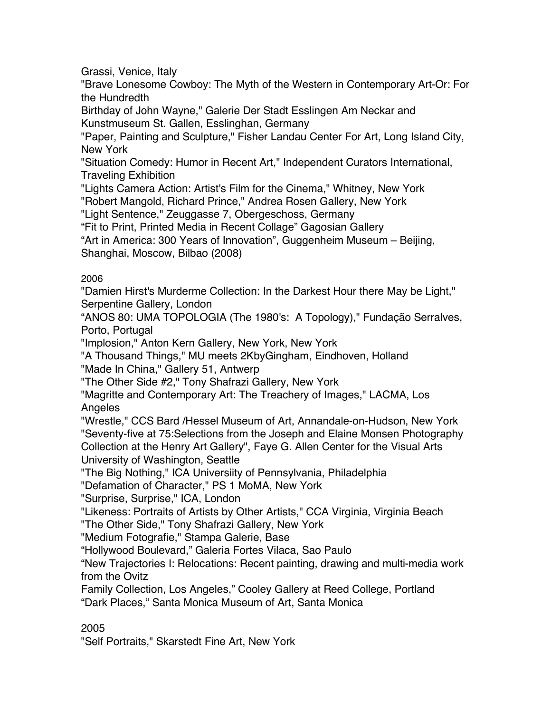Grassi, Venice, Italy

"Brave Lonesome Cowboy: The Myth of the Western in Contemporary Art-Or: For the Hundredth

Birthday of John Wayne," Galerie Der Stadt Esslingen Am Neckar and Kunstmuseum St. Gallen, Esslinghan, Germany

"Paper, Painting and Sculpture," Fisher Landau Center For Art, Long Island City, New York

"Situation Comedy: Humor in Recent Art," Independent Curators International, Traveling Exhibition

"Lights Camera Action: Artist's Film for the Cinema," Whitney, New York "Robert Mangold, Richard Prince," Andrea Rosen Gallery, New York

"Light Sentence," Zeuggasse 7, Obergeschoss, Germany

"Fit to Print, Printed Media in Recent Collage" Gagosian Gallery

"Art in America: 300 Years of Innovation", Guggenheim Museum – Beijing, Shanghai, Moscow, Bilbao (2008)

## 2006

"Damien Hirst's Murderme Collection: In the Darkest Hour there May be Light," Serpentine Gallery, London

"ANOS 80: UMA TOPOLOGIA (The 1980's: A Topology)," Fundação Serralves, Porto, Portugal

"Implosion," Anton Kern Gallery, New York, New York

"A Thousand Things," MU meets 2KbyGingham, Eindhoven, Holland

"Made In China," Gallery 51, Antwerp

"The Other Side #2," Tony Shafrazi Gallery, New York

"Magritte and Contemporary Art: The Treachery of Images," LACMA, Los Angeles

"Wrestle," CCS Bard /Hessel Museum of Art, Annandale-on-Hudson, New York "Seventy-five at 75:Selections from the Joseph and Elaine Monsen Photography Collection at the Henry Art Gallery", Faye G. Allen Center for the Visual Arts University of Washington, Seattle

"The Big Nothing," ICA Universiity of Pennsylvania, Philadelphia

"Defamation of Character," PS 1 MoMA, New York

"Surprise, Surprise," ICA, London

"Likeness: Portraits of Artists by Other Artists," CCA Virginia, Virginia Beach "The Other Side," Tony Shafrazi Gallery, New York

"Medium Fotografie," Stampa Galerie, Base

"Hollywood Boulevard," Galeria Fortes Vilaca, Sao Paulo

"New Trajectories I: Relocations: Recent painting, drawing and multi-media work from the Ovitz

Family Collection, Los Angeles," Cooley Gallery at Reed College, Portland "Dark Places," Santa Monica Museum of Art, Santa Monica

2005

"Self Portraits," Skarstedt Fine Art, New York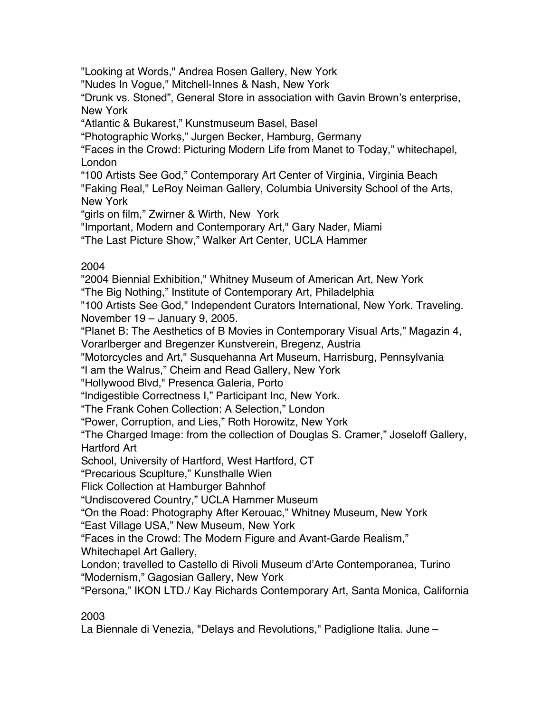"Looking at Words," Andrea Rosen Gallery, New York

"Nudes In Vogue," Mitchell-Innes & Nash, New York

"Drunk vs. Stoned", General Store in association with Gavin Brown's enterprise, New York

"Atlantic & Bukarest," Kunstmuseum Basel, Basel

"Photographic Works," Jurgen Becker, Hamburg, Germany

"Faces in the Crowd: Picturing Modern Life from Manet to Today," whitechapel, London

"100 Artists See God," Contemporary Art Center of Virginia, Virginia Beach "Faking Real," LeRoy Neiman Gallery, Columbia University School of the Arts, New York

"girls on film," Zwirner & Wirth, New York

"Important, Modern and Contemporary Art," Gary Nader, Miami

"The Last Picture Show," Walker Art Center, UCLA Hammer

## 2004

"2004 Biennial Exhibition," Whitney Museum of American Art, New York

"The Big Nothing," Institute of Contemporary Art, Philadelphia

"100 Artists See God," Independent Curators International, New York. Traveling. November 19 – January 9, 2005.

"Planet B: The Aesthetics of B Movies in Contemporary Visual Arts," Magazin 4, Vorarlberger and Bregenzer Kunstverein, Bregenz, Austria

"Motorcycles and Art," Susquehanna Art Museum, Harrisburg, Pennsylvania

"I am the Walrus," Cheim and Read Gallery, New York

"Hollywood Blvd," Presenca Galeria, Porto

"Indigestible Correctness I," Participant Inc, New York.

"The Frank Cohen Collection: A Selection," London

"Power, Corruption, and Lies," Roth Horowitz, New York

"The Charged Image: from the collection of Douglas S. Cramer," Joseloff Gallery, Hartford Art

School, University of Hartford, West Hartford, CT

"Precarious Scuplture," Kunsthalle Wien

Flick Collection at Hamburger Bahnhof

"Undiscovered Country," UCLA Hammer Museum

"On the Road: Photography After Kerouac," Whitney Museum, New York

"East Village USA," New Museum, New York

"Faces in the Crowd: The Modern Figure and Avant-Garde Realism,"

Whitechapel Art Gallery,

London; travelled to Castello di Rivoli Museum d'Arte Contemporanea, Turino "Modernism," Gagosian Gallery, New York

"Persona," IKON LTD./ Kay Richards Contemporary Art, Santa Monica, California

# 2003

La Biennale di Venezia, "Delays and Revolutions," Padiglione Italia. June –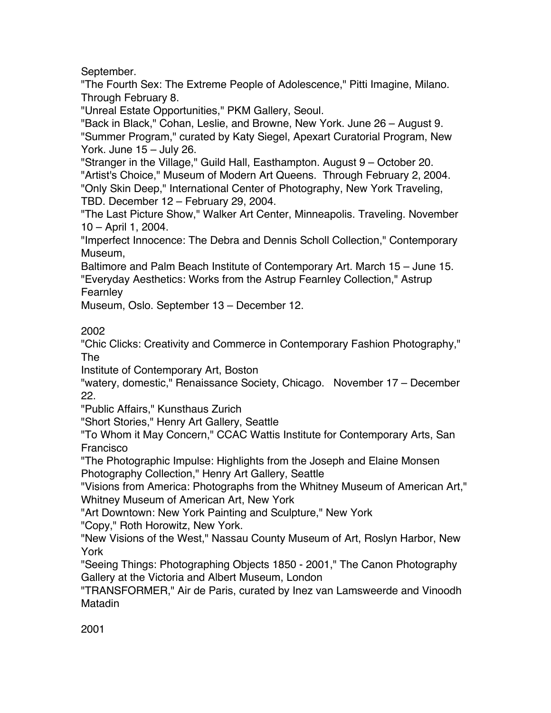September.

"The Fourth Sex: The Extreme People of Adolescence," Pitti Imagine, Milano. Through February 8.

"Unreal Estate Opportunities," PKM Gallery, Seoul.

"Back in Black," Cohan, Leslie, and Browne, New York. June 26 – August 9. "Summer Program," curated by Katy Siegel, Apexart Curatorial Program, New York. June 15 – July 26.

"Stranger in the Village," Guild Hall, Easthampton. August 9 – October 20. "Artist's Choice," Museum of Modern Art Queens. Through February 2, 2004. "Only Skin Deep," International Center of Photography, New York Traveling, TBD. December 12 – February 29, 2004.

"The Last Picture Show," Walker Art Center, Minneapolis. Traveling. November 10 – April 1, 2004.

"Imperfect Innocence: The Debra and Dennis Scholl Collection," Contemporary Museum,

Baltimore and Palm Beach Institute of Contemporary Art. March 15 – June 15. "Everyday Aesthetics: Works from the Astrup Fearnley Collection," Astrup Fearnley

Museum, Oslo. September 13 – December 12.

2002

"Chic Clicks: Creativity and Commerce in Contemporary Fashion Photography," The

Institute of Contemporary Art, Boston

"watery, domestic," Renaissance Society, Chicago. November 17 – December 22.

"Public Affairs," Kunsthaus Zurich

"Short Stories," Henry Art Gallery, Seattle

"To Whom it May Concern," CCAC Wattis Institute for Contemporary Arts, San Francisco

"The Photographic Impulse: Highlights from the Joseph and Elaine Monsen Photography Collection," Henry Art Gallery, Seattle

"Visions from America: Photographs from the Whitney Museum of American Art," Whitney Museum of American Art, New York

"Art Downtown: New York Painting and Sculpture," New York

"Copy," Roth Horowitz, New York.

"New Visions of the West," Nassau County Museum of Art, Roslyn Harbor, New York

"Seeing Things: Photographing Objects 1850 - 2001," The Canon Photography Gallery at the Victoria and Albert Museum, London

"TRANSFORMER," Air de Paris, curated by Inez van Lamsweerde and Vinoodh Matadin

2001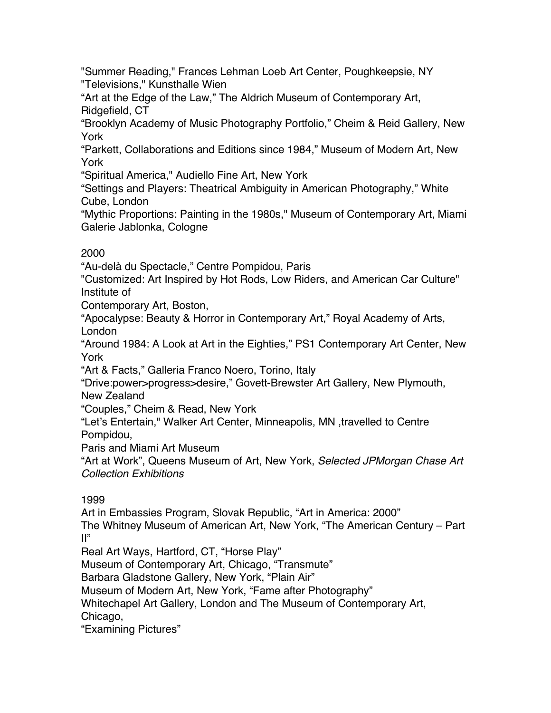"Summer Reading," Frances Lehman Loeb Art Center, Poughkeepsie, NY "Televisions," Kunsthalle Wien

"Art at the Edge of the Law," The Aldrich Museum of Contemporary Art, Ridgefield, CT

"Brooklyn Academy of Music Photography Portfolio," Cheim & Reid Gallery, New York

"Parkett, Collaborations and Editions since 1984," Museum of Modern Art, New York

"Spiritual America," Audiello Fine Art, New York

"Settings and Players: Theatrical Ambiguity in American Photography," White Cube, London

"Mythic Proportions: Painting in the 1980s," Museum of Contemporary Art, Miami Galerie Jablonka, Cologne

# 2000

"Au-delà du Spectacle," Centre Pompidou, Paris

"Customized: Art Inspired by Hot Rods, Low Riders, and American Car Culture" Institute of

Contemporary Art, Boston,

"Apocalypse: Beauty & Horror in Contemporary Art," Royal Academy of Arts, London

"Around 1984: A Look at Art in the Eighties," PS1 Contemporary Art Center, New York

"Art & Facts," Galleria Franco Noero, Torino, Italy

"Drive:power>progress>desire," Govett-Brewster Art Gallery, New Plymouth, New Zealand

"Couples," Cheim & Read, New York

"Let's Entertain," Walker Art Center, Minneapolis, MN ,travelled to Centre Pompidou,

Paris and Miami Art Museum

"Art at Work", Queens Museum of Art, New York, *Selected JPMorgan Chase Art Collection Exhibitions*

# 1999

Art in Embassies Program, Slovak Republic, "Art in America: 2000" The Whitney Museum of American Art, New York, "The American Century – Part II"

Real Art Ways, Hartford, CT, "Horse Play"

Museum of Contemporary Art, Chicago, "Transmute"

Barbara Gladstone Gallery, New York, "Plain Air"

Museum of Modern Art, New York, "Fame after Photography"

Whitechapel Art Gallery, London and The Museum of Contemporary Art,

Chicago,

"Examining Pictures"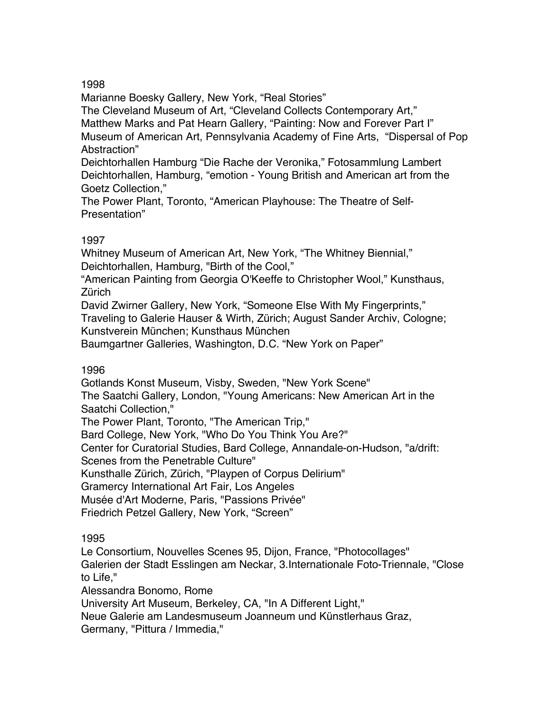Marianne Boesky Gallery, New York, "Real Stories"

The Cleveland Museum of Art, "Cleveland Collects Contemporary Art," Matthew Marks and Pat Hearn Gallery, "Painting: Now and Forever Part I" Museum of American Art, Pennsylvania Academy of Fine Arts, "Dispersal of Pop Abstraction"

Deichtorhallen Hamburg "Die Rache der Veronika," Fotosammlung Lambert Deichtorhallen, Hamburg, "emotion - Young British and American art from the Goetz Collection,"

The Power Plant, Toronto, "American Playhouse: The Theatre of Self-Presentation"

## 1997

Whitney Museum of American Art, New York, "The Whitney Biennial," Deichtorhallen, Hamburg, "Birth of the Cool,"

"American Painting from Georgia O'Keeffe to Christopher Wool," Kunsthaus, **Zürich** 

David Zwirner Gallery, New York, "Someone Else With My Fingerprints," Traveling to Galerie Hauser & Wirth, Zürich; August Sander Archiv, Cologne; Kunstverein München; Kunsthaus München

Baumgartner Galleries, Washington, D.C. "New York on Paper"

## 1996

Gotlands Konst Museum, Visby, Sweden, "New York Scene" The Saatchi Gallery, London, "Young Americans: New American Art in the Saatchi Collection,"

The Power Plant, Toronto, "The American Trip,"

Bard College, New York, "Who Do You Think You Are?"

Center for Curatorial Studies, Bard College, Annandale-on-Hudson, "a/drift:

Scenes from the Penetrable Culture"

Kunsthalle Zürich, Zürich, "Playpen of Corpus Delirium"

Gramercy International Art Fair, Los Angeles

Musée d'Art Moderne, Paris, "Passions Privée"

Friedrich Petzel Gallery, New York, "Screen"

1995

Le Consortium, Nouvelles Scenes 95, Dijon, France, "Photocollages"

Galerien der Stadt Esslingen am Neckar, 3.Internationale Foto-Triennale, "Close to Life,"

Alessandra Bonomo, Rome

University Art Museum, Berkeley, CA, "In A Different Light,"

Neue Galerie am Landesmuseum Joanneum und Künstlerhaus Graz,

Germany, "Pittura / Immedia,"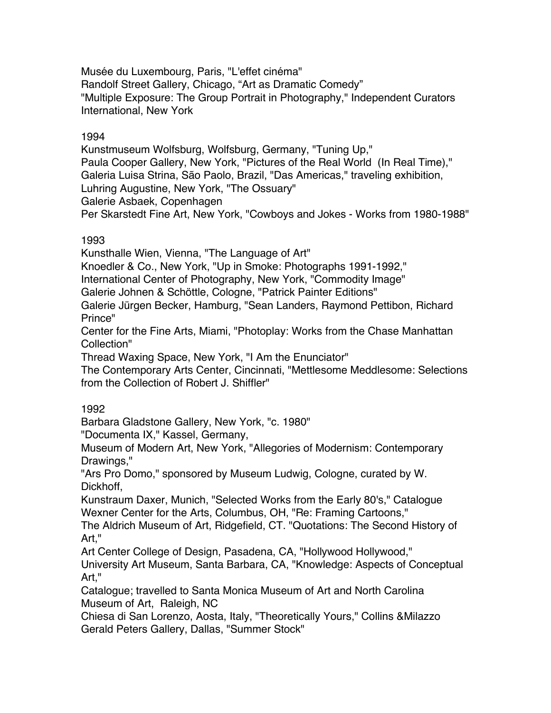Musée du Luxembourg, Paris, "L'effet cinéma" Randolf Street Gallery, Chicago, "Art as Dramatic Comedy" "Multiple Exposure: The Group Portrait in Photography," Independent Curators International, New York

## 1994

Kunstmuseum Wolfsburg, Wolfsburg, Germany, "Tuning Up," Paula Cooper Gallery, New York, "Pictures of the Real World (In Real Time)," Galeria Luisa Strina, São Paolo, Brazil, "Das Americas," traveling exhibition, Luhring Augustine, New York, "The Ossuary" Galerie Asbaek, Copenhagen Per Skarstedt Fine Art, New York, "Cowboys and Jokes - Works from 1980-1988"

## 1993

Kunsthalle Wien, Vienna, "The Language of Art"

Knoedler & Co., New York, "Up in Smoke: Photographs 1991-1992,"

International Center of Photography, New York, "Commodity Image"

Galerie Johnen & Schöttle, Cologne, "Patrick Painter Editions"

Galerie Jürgen Becker, Hamburg, "Sean Landers, Raymond Pettibon, Richard Prince"

Center for the Fine Arts, Miami, "Photoplay: Works from the Chase Manhattan Collection"

Thread Waxing Space, New York, "I Am the Enunciator"

The Contemporary Arts Center, Cincinnati, "Mettlesome Meddlesome: Selections from the Collection of Robert J. Shiffler"

## 1992

Barbara Gladstone Gallery, New York, "c. 1980"

"Documenta IX," Kassel, Germany,

Museum of Modern Art, New York, "Allegories of Modernism: Contemporary Drawings,"

"Ars Pro Domo," sponsored by Museum Ludwig, Cologne, curated by W. Dickhoff,

Kunstraum Daxer, Munich, "Selected Works from the Early 80's," Catalogue Wexner Center for the Arts, Columbus, OH, "Re: Framing Cartoons,"

The Aldrich Museum of Art, Ridgefield, CT. "Quotations: The Second History of Art,"

Art Center College of Design, Pasadena, CA, "Hollywood Hollywood,"

University Art Museum, Santa Barbara, CA, "Knowledge: Aspects of Conceptual Art,"

Catalogue; travelled to Santa Monica Museum of Art and North Carolina Museum of Art, Raleigh, NC

Chiesa di San Lorenzo, Aosta, Italy, "Theoretically Yours," Collins &Milazzo Gerald Peters Gallery, Dallas, "Summer Stock"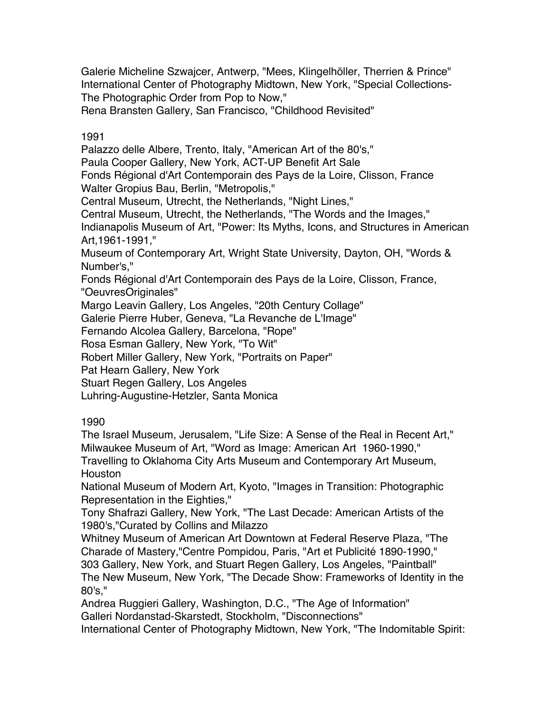Galerie Micheline Szwajcer, Antwerp, "Mees, Klingelhöller, Therrien & Prince" International Center of Photography Midtown, New York, "Special Collections-The Photographic Order from Pop to Now,"

Rena Bransten Gallery, San Francisco, "Childhood Revisited"

## 1991

Palazzo delle Albere, Trento, Italy, "American Art of the 80's,"

Paula Cooper Gallery, New York, ACT-UP Benefit Art Sale

Fonds Régional d'Art Contemporain des Pays de la Loire, Clisson, France

Walter Gropius Bau, Berlin, "Metropolis,"

Central Museum, Utrecht, the Netherlands, "Night Lines,"

Central Museum, Utrecht, the Netherlands, "The Words and the Images,"

Indianapolis Museum of Art, "Power: Its Myths, Icons, and Structures in American Art,1961-1991,"

Museum of Contemporary Art, Wright State University, Dayton, OH, "Words & Number's,"

Fonds Régional d'Art Contemporain des Pays de la Loire, Clisson, France, "OeuvresOriginales"

Margo Leavin Gallery, Los Angeles, "20th Century Collage"

Galerie Pierre Huber, Geneva, "La Revanche de L'Image"

Fernando Alcolea Gallery, Barcelona, "Rope"

Rosa Esman Gallery, New York, "To Wit"

Robert Miller Gallery, New York, "Portraits on Paper"

Pat Hearn Gallery, New York

Stuart Regen Gallery, Los Angeles

Luhring-Augustine-Hetzler, Santa Monica

## 1990

The Israel Museum, Jerusalem, "Life Size: A Sense of the Real in Recent Art," Milwaukee Museum of Art, "Word as Image: American Art 1960-1990,"

Travelling to Oklahoma City Arts Museum and Contemporary Art Museum, **Houston** 

National Museum of Modern Art, Kyoto, "Images in Transition: Photographic Representation in the Eighties,"

Tony Shafrazi Gallery, New York, "The Last Decade: American Artists of the 1980's,"Curated by Collins and Milazzo

Whitney Museum of American Art Downtown at Federal Reserve Plaza, "The Charade of Mastery,"Centre Pompidou, Paris, "Art et Publicité 1890-1990,"

303 Gallery, New York, and Stuart Regen Gallery, Los Angeles, "Paintball" The New Museum, New York, "The Decade Show: Frameworks of Identity in the 80's,"

Andrea Ruggieri Gallery, Washington, D.C., "The Age of Information" Galleri Nordanstad-Skarstedt, Stockholm, "Disconnections"

International Center of Photography Midtown, New York, "The Indomitable Spirit: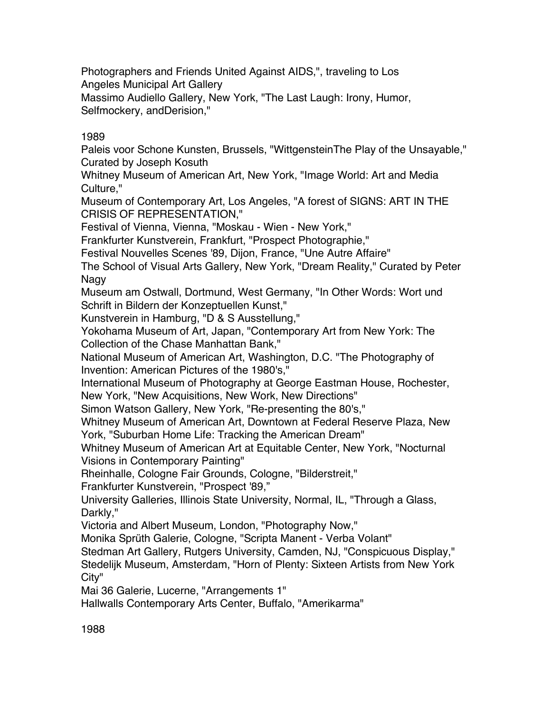Photographers and Friends United Against AIDS,", traveling to Los Angeles Municipal Art Gallery

Massimo Audiello Gallery, New York, "The Last Laugh: Irony, Humor, Selfmockery, andDerision,"

## 1989

Paleis voor Schone Kunsten, Brussels, "WittgensteinThe Play of the Unsayable," Curated by Joseph Kosuth

Whitney Museum of American Art, New York, "Image World: Art and Media Culture,"

Museum of Contemporary Art, Los Angeles, "A forest of SIGNS: ART IN THE CRISIS OF REPRESENTATION,"

Festival of Vienna, Vienna, "Moskau - Wien - New York,"

Frankfurter Kunstverein, Frankfurt, "Prospect Photographie,"

Festival Nouvelles Scenes '89, Dijon, France, "Une Autre Affaire"

The School of Visual Arts Gallery, New York, "Dream Reality," Curated by Peter Nagy

Museum am Ostwall, Dortmund, West Germany, "In Other Words: Wort und Schrift in Bildern der Konzeptuellen Kunst,"

Kunstverein in Hamburg, "D & S Ausstellung,"

Yokohama Museum of Art, Japan, "Contemporary Art from New York: The Collection of the Chase Manhattan Bank,"

National Museum of American Art, Washington, D.C. "The Photography of Invention: American Pictures of the 1980's,"

International Museum of Photography at George Eastman House, Rochester, New York, "New Acquisitions, New Work, New Directions"

Simon Watson Gallery, New York, "Re-presenting the 80's,"

Whitney Museum of American Art, Downtown at Federal Reserve Plaza, New York, "Suburban Home Life: Tracking the American Dream"

Whitney Museum of American Art at Equitable Center, New York, "Nocturnal Visions in Contemporary Painting"

Rheinhalle, Cologne Fair Grounds, Cologne, "Bilderstreit,"

Frankfurter Kunstverein, "Prospect '89,"

University Galleries, Illinois State University, Normal, IL, "Through a Glass, Darkly,"

Victoria and Albert Museum, London, "Photography Now,"

Monika Sprüth Galerie, Cologne, "Scripta Manent - Verba Volant"

Stedman Art Gallery, Rutgers University, Camden, NJ, "Conspicuous Display,"

Stedelijk Museum, Amsterdam, "Horn of Plenty: Sixteen Artists from New York City"

Mai 36 Galerie, Lucerne, "Arrangements 1"

Hallwalls Contemporary Arts Center, Buffalo, "Amerikarma"

1988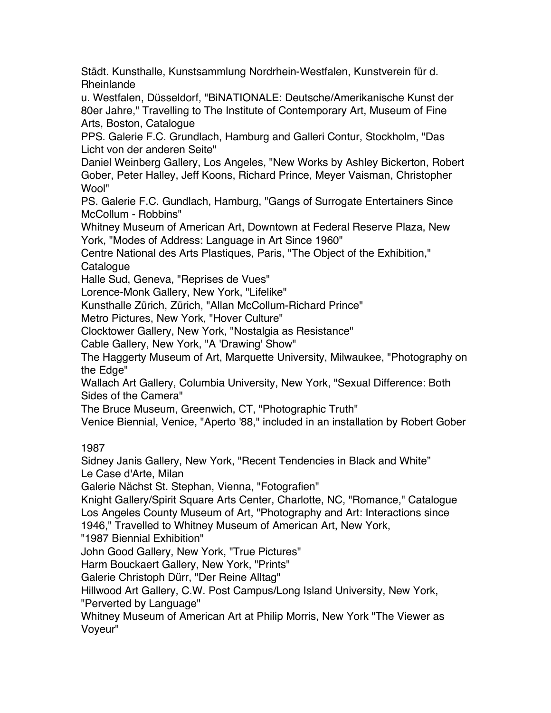Städt. Kunsthalle, Kunstsammlung Nordrhein-Westfalen, Kunstverein für d. Rheinlande

u. Westfalen, Düsseldorf, "BiNATIONALE: Deutsche/Amerikanische Kunst der 80er Jahre," Travelling to The Institute of Contemporary Art, Museum of Fine Arts, Boston, Catalogue

PPS. Galerie F.C. Grundlach, Hamburg and Galleri Contur, Stockholm, "Das Licht von der anderen Seite"

Daniel Weinberg Gallery, Los Angeles, "New Works by Ashley Bickerton, Robert Gober, Peter Halley, Jeff Koons, Richard Prince, Meyer Vaisman, Christopher Wool"

PS. Galerie F.C. Gundlach, Hamburg, "Gangs of Surrogate Entertainers Since McCollum - Robbins"

Whitney Museum of American Art, Downtown at Federal Reserve Plaza, New York, "Modes of Address: Language in Art Since 1960"

Centre National des Arts Plastiques, Paris, "The Object of the Exhibition," **Catalogue** 

Halle Sud, Geneva, "Reprises de Vues"

Lorence-Monk Gallery, New York, "Lifelike"

Kunsthalle Zürich, Zürich, "Allan McCollum-Richard Prince"

Metro Pictures, New York, "Hover Culture"

Clocktower Gallery, New York, "Nostalgia as Resistance"

Cable Gallery, New York, "A 'Drawing' Show"

The Haggerty Museum of Art, Marquette University, Milwaukee, "Photography on the Edge"

Wallach Art Gallery, Columbia University, New York, "Sexual Difference: Both Sides of the Camera"

The Bruce Museum, Greenwich, CT, "Photographic Truth"

Venice Biennial, Venice, "Aperto '88," included in an installation by Robert Gober

## 1987

Sidney Janis Gallery, New York, "Recent Tendencies in Black and White" Le Case d'Arte, Milan

Galerie Nächst St. Stephan, Vienna, "Fotografien"

Knight Gallery/Spirit Square Arts Center, Charlotte, NC, "Romance," Catalogue Los Angeles County Museum of Art, "Photography and Art: Interactions since 1946," Travelled to Whitney Museum of American Art, New York,

"1987 Biennial Exhibition"

John Good Gallery, New York, "True Pictures"

Harm Bouckaert Gallery, New York, "Prints"

Galerie Christoph Dürr, "Der Reine Alltag"

Hillwood Art Gallery, C.W. Post Campus/Long Island University, New York,

"Perverted by Language"

Whitney Museum of American Art at Philip Morris, New York "The Viewer as Voyeur"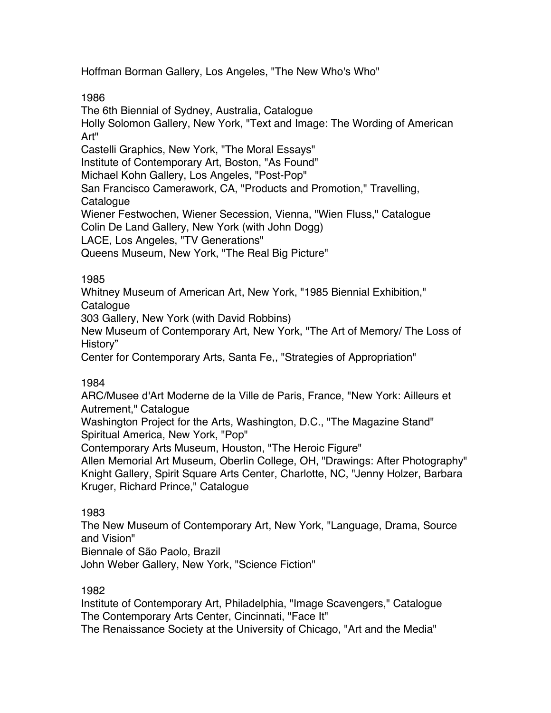Hoffman Borman Gallery, Los Angeles, "The New Who's Who"

1986

The 6th Biennial of Sydney, Australia, Catalogue Holly Solomon Gallery, New York, "Text and Image: The Wording of American Art" Castelli Graphics, New York, "The Moral Essays" Institute of Contemporary Art, Boston, "As Found" Michael Kohn Gallery, Los Angeles, "Post-Pop" San Francisco Camerawork, CA, "Products and Promotion," Travelling, Catalogue Wiener Festwochen, Wiener Secession, Vienna, "Wien Fluss," Catalogue Colin De Land Gallery, New York (with John Dogg) LACE, Los Angeles, "TV Generations" Queens Museum, New York, "The Real Big Picture"

## 1985

Whitney Museum of American Art, New York, "1985 Biennial Exhibition,"

Catalogue

303 Gallery, New York (with David Robbins)

New Museum of Contemporary Art, New York, "The Art of Memory/ The Loss of History"

Center for Contemporary Arts, Santa Fe,, "Strategies of Appropriation"

# 1984

ARC/Musee d'Art Moderne de la Ville de Paris, France, "New York: Ailleurs et Autrement," Catalogue

Washington Project for the Arts, Washington, D.C., "The Magazine Stand" Spiritual America, New York, "Pop"

Contemporary Arts Museum, Houston, "The Heroic Figure"

Allen Memorial Art Museum, Oberlin College, OH, "Drawings: After Photography" Knight Gallery, Spirit Square Arts Center, Charlotte, NC, "Jenny Holzer, Barbara Kruger, Richard Prince," Catalogue

# 1983

The New Museum of Contemporary Art, New York, "Language, Drama, Source and Vision"

Biennale of São Paolo, Brazil

John Weber Gallery, New York, "Science Fiction"

# 1982

Institute of Contemporary Art, Philadelphia, "Image Scavengers," Catalogue The Contemporary Arts Center, Cincinnati, "Face It"

The Renaissance Society at the University of Chicago, "Art and the Media"